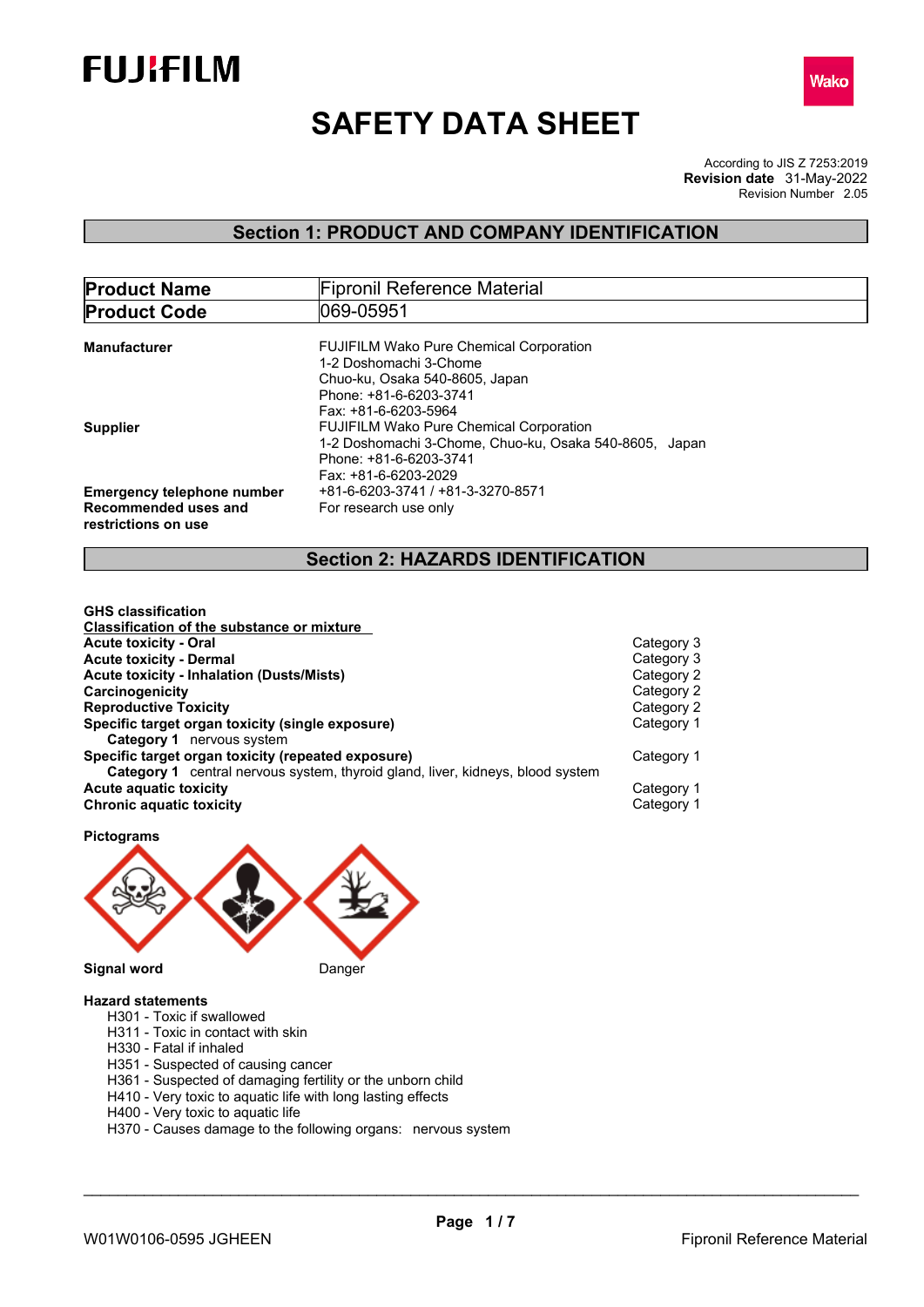



# **SAFETY DATA SHEET**

According to JIS Z 7253:2019 Revision Number 2.05 **Revision date** 31-May-2022

# **Section 1: PRODUCT AND COMPANY IDENTIFICATION**

| <b>Product Name</b>                                                              | <b>Fipronil Reference Material</b>                                                                                                                           |
|----------------------------------------------------------------------------------|--------------------------------------------------------------------------------------------------------------------------------------------------------------|
| <b>Product Code</b>                                                              | 069-05951                                                                                                                                                    |
| Manufacturer                                                                     | <b>FUJIFILM Wako Pure Chemical Corporation</b><br>1-2 Doshomachi 3-Chome<br>Chuo-ku, Osaka 540-8605, Japan<br>Phone: +81-6-6203-3741<br>Fax: +81-6-6203-5964 |
| <b>Supplier</b>                                                                  | <b>FUJIFILM Wako Pure Chemical Corporation</b><br>1-2 Doshomachi 3-Chome, Chuo-ku, Osaka 540-8605, Japan<br>Phone: +81-6-6203-3741<br>Fax: +81-6-6203-2029   |
| <b>Emergency telephone number</b><br>Recommended uses and<br>restrictions on use | +81-6-6203-3741 / +81-3-3270-8571<br>For research use only                                                                                                   |

# **Section 2: HAZARDS IDENTIFICATION**

| <b>GHS classification</b>                                                             |            |
|---------------------------------------------------------------------------------------|------------|
| <b>Classification of the substance or mixture</b>                                     |            |
| <b>Acute toxicity - Oral</b>                                                          | Category 3 |
| <b>Acute toxicity - Dermal</b>                                                        | Category 3 |
| <b>Acute toxicity - Inhalation (Dusts/Mists)</b>                                      | Category 2 |
| Carcinogenicity                                                                       | Category 2 |
| <b>Reproductive Toxicity</b>                                                          | Category 2 |
| Specific target organ toxicity (single exposure)                                      | Category 1 |
| <b>Category 1</b> nervous system                                                      |            |
| Specific target organ toxicity (repeated exposure)                                    | Category 1 |
| <b>Category 1</b> central nervous system, thyroid gland, liver, kidneys, blood system |            |
| <b>Acute aguatic toxicity</b>                                                         | Category 1 |
| <b>Chronic aquatic toxicity</b>                                                       | Category 1 |
|                                                                                       |            |

**Pictograms**



- **Hazard statements**
	- H301 Toxic if swallowed
	- H311 Toxic in contact with skin
	- H330 Fatal if inhaled
	- H351 Suspected of causing cancer
	- H361 Suspected of damaging fertility or the unborn child
	- H410 Very toxic to aquatic life with long lasting effects
	- H400 Very toxic to aquatic life
	- H370 Causes damage to the following organs: nervous system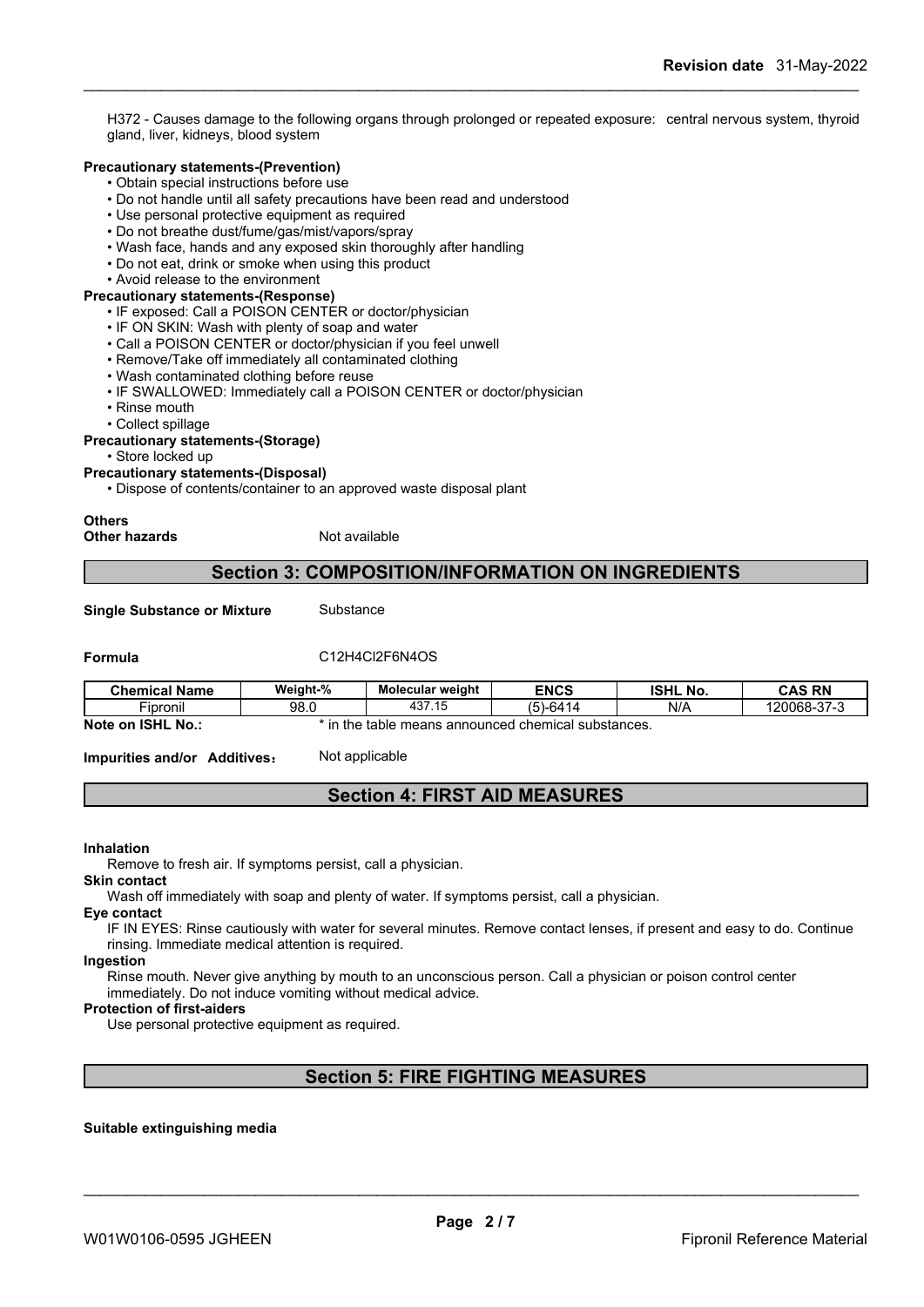H372 - Causes damage to the following organs through prolonged or repeated exposure: central nervous system, thyroid gland, liver, kidneys, blood system

#### **Precautionary statements-(Prevention)**

- Obtain special instructions before use
- Do not handle until all safety precautions have been read and understood
- Use personal protective equipment as required
- Do not breathe dust/fume/gas/mist/vapors/spray
- Wash face, hands and any exposed skin thoroughly after handling
- Do not eat, drink or smoke when using this product
- Avoid release to the environment

### **Precautionary statements-(Response)**

• IF exposed: Call a POISON CENTER or doctor/physician

- IF ON SKIN: Wash with plenty of soap and water
- Call a POISON CENTER or doctor/physician if you feel unwell
- Remove/Take off immediately all contaminated clothing
- Wash contaminated clothing before reuse
- IF SWALLOWED: Immediately call a POISON CENTER or doctor/physician
- Rinse mouth
- Collect spillage

#### **Precautionary statements-(Storage)**

• Store locked up

## **Precautionary statements-(Disposal)**

• Dispose of contents/container to an approved waste disposal plant

#### **Others**

**Other hazards** Not available

## **Section 3: COMPOSITION/INFORMATION ON INGREDIENTS**

**Single Substance or Mixture** Substance

#### **Formula** C12H4Cl2F6N4OS

| <b>Chemical Name</b>  | Weight-%    | Molecular weight                                               | <b>ENCS</b>               | ופשו<br>. NO.<br>וסהו | <b>CAS DN</b><br>umo<br>w |
|-----------------------|-------------|----------------------------------------------------------------|---------------------------|-----------------------|---------------------------|
| $- \cdot$<br>Fiproni. | Q.R<br>JU.U | $\sim$ $\sim$ $\sim$<br>$\lambda$ are<br>— 1 ° 1 °<br>−∪≀<br>. | $\sim$ $\sim$<br>'nД<br>. | N/F                   | 120068-37-3               |
| .                     |             |                                                                |                           |                       |                           |

**Note on ISHL No.:** \* in the table means announced chemical substances.

**Impurities and/or Additives:** Not applicable

## **Section 4: FIRST AID MEASURES**

#### **Inhalation**

Remove to fresh air. If symptoms persist, call a physician.

#### **Skin contact**

Wash off immediately with soap and plenty of water. If symptoms persist, call a physician.

#### **Eye contact**

IF IN EYES: Rinse cautiously with water for several minutes. Remove contact lenses, if present and easy to do. Continue rinsing. Immediate medical attention is required.

#### **Ingestion**

Rinse mouth. Never give anything by mouth to an unconscious person. Call a physician or poison control center immediately. Do not induce vomiting without medical advice.

#### **Protection of first-aiders**

Use personal protective equipment as required.

## **Section 5: FIRE FIGHTING MEASURES**

#### **Suitable extinguishing media**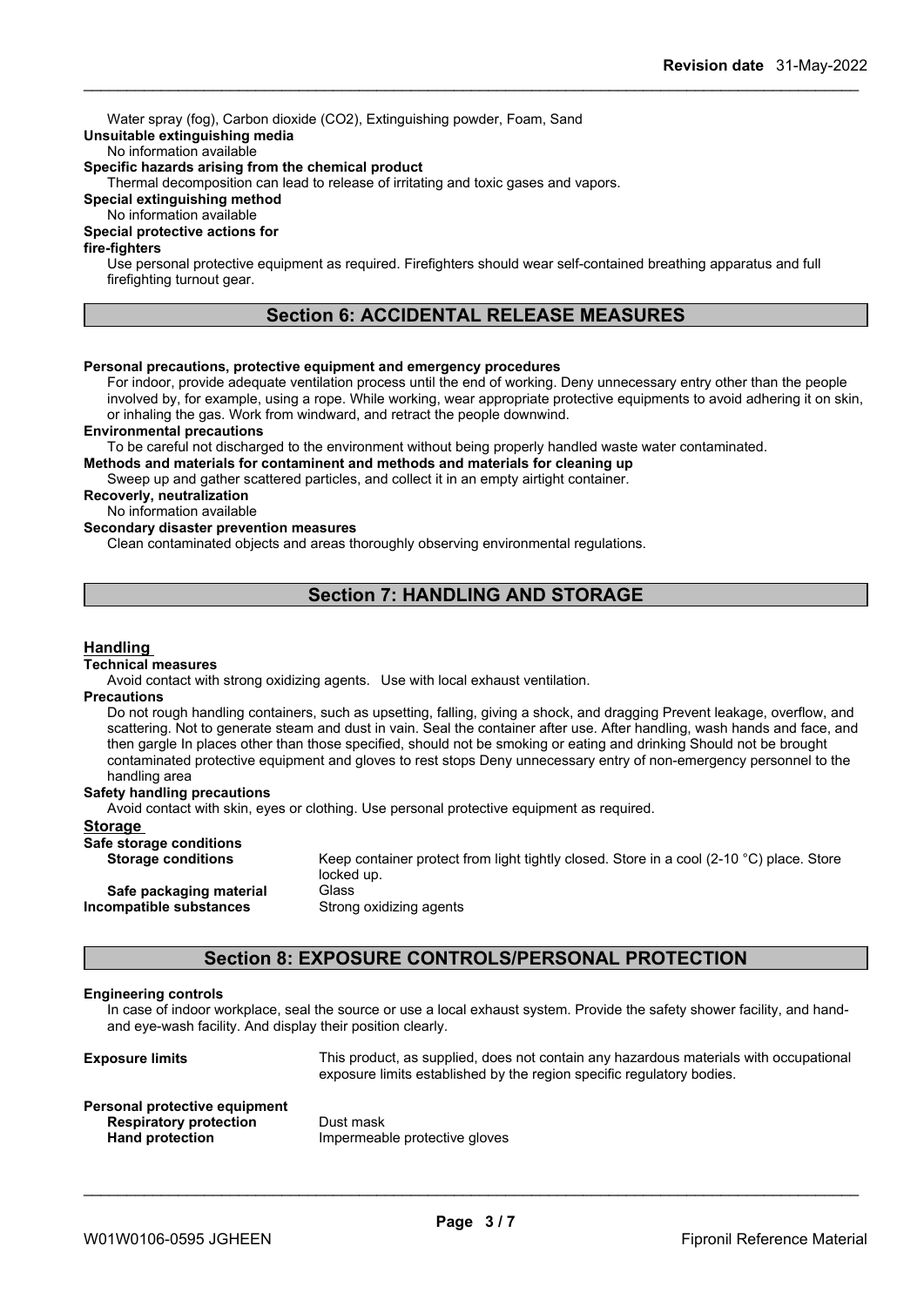Water spray (fog), Carbon dioxide (CO2), Extinguishing powder, Foam, Sand **Unsuitable extinguishing media** No information available **Specific hazards arising from the chemical product** Thermal decomposition can lead to release of irritating and toxic gases and vapors. **Special extinguishing method** No information available **Special protective actions for fire-fighters** Use personal protective equipment as required.Firefighters should wear self-contained breathing apparatus and full firefighting turnout gear. **Section 6: ACCIDENTAL RELEASE MEASURES**

# **Personal precautions, protective equipment and emergency procedures**

For indoor, provide adequate ventilation process until the end of working. Deny unnecessary entry other than the people involved by, for example, using a rope. While working, wear appropriate protective equipments to avoid adhering it on skin, or inhaling the gas. Work from windward, and retract the people downwind.

## **Environmental precautions**

To be careful not discharged to the environment without being properly handled waste water contaminated.

**Methods and materials for contaminent and methods and materials for cleaning up**

Sweep up and gather scattered particles, and collect it in an empty airtight container.

#### **Recoverly, neutralization** No information available

## **Secondary disaster prevention measures**

Clean contaminated objects and areas thoroughly observing environmental regulations.

# **Section 7: HANDLING AND STORAGE**

#### **Handling**

#### **Technical measures**

Avoid contact with strong oxidizing agents. Use with local exhaust ventilation.

#### **Precautions**

Do not rough handling containers, such as upsetting, falling, giving a shock, and dragging Prevent leakage, overflow, and scattering. Not to generate steam and dust in vain. Seal the container after use. After handling, wash hands and face, and then gargle In places other than those specified, should not be smoking or eating and drinking Should not be brought contaminated protective equipment and gloves to rest stops Deny unnecessary entry of non-emergency personnel to the handling area

#### **Safety handling precautions**

Avoid contact with skin, eyes or clothing. Use personal protective equipment as required.

#### **Storage**

| Safe storage conditions   |                                                                                          |
|---------------------------|------------------------------------------------------------------------------------------|
| <b>Storage conditions</b> | Keep container protect from light tightly closed. Store in a cool (2-10 °C) place. Store |
|                           | locked up.                                                                               |
| Safe packaging material   | Glass                                                                                    |
| Incompatible substances   | Strong oxidizing agents                                                                  |
|                           |                                                                                          |

## **Section 8: EXPOSURE CONTROLS/PERSONAL PROTECTION**

#### **Engineering controls**

In case of indoor workplace, seal the source or use a local exhaust system. Provide the safety shower facility, and handand eye-wash facility. And display their position clearly.

| <b>Exposure limits</b> |  |
|------------------------|--|
|------------------------|--|

This product, as supplied, does not contain any hazardous materials with occupational exposure limits established by the region specific regulatory bodies.

\_\_\_\_\_\_\_\_\_\_\_\_\_\_\_\_\_\_\_\_\_\_\_\_\_\_\_\_\_\_\_\_\_\_\_\_\_\_\_\_\_\_\_\_\_\_\_\_\_\_\_\_\_\_\_\_\_\_\_\_\_\_\_\_\_\_\_\_\_\_\_\_\_\_\_\_\_\_\_\_\_\_\_\_\_\_\_\_\_\_

# **Personal protective equipment Respiratory protection** Dust mask

**Hand protection Impermeable protective gloves**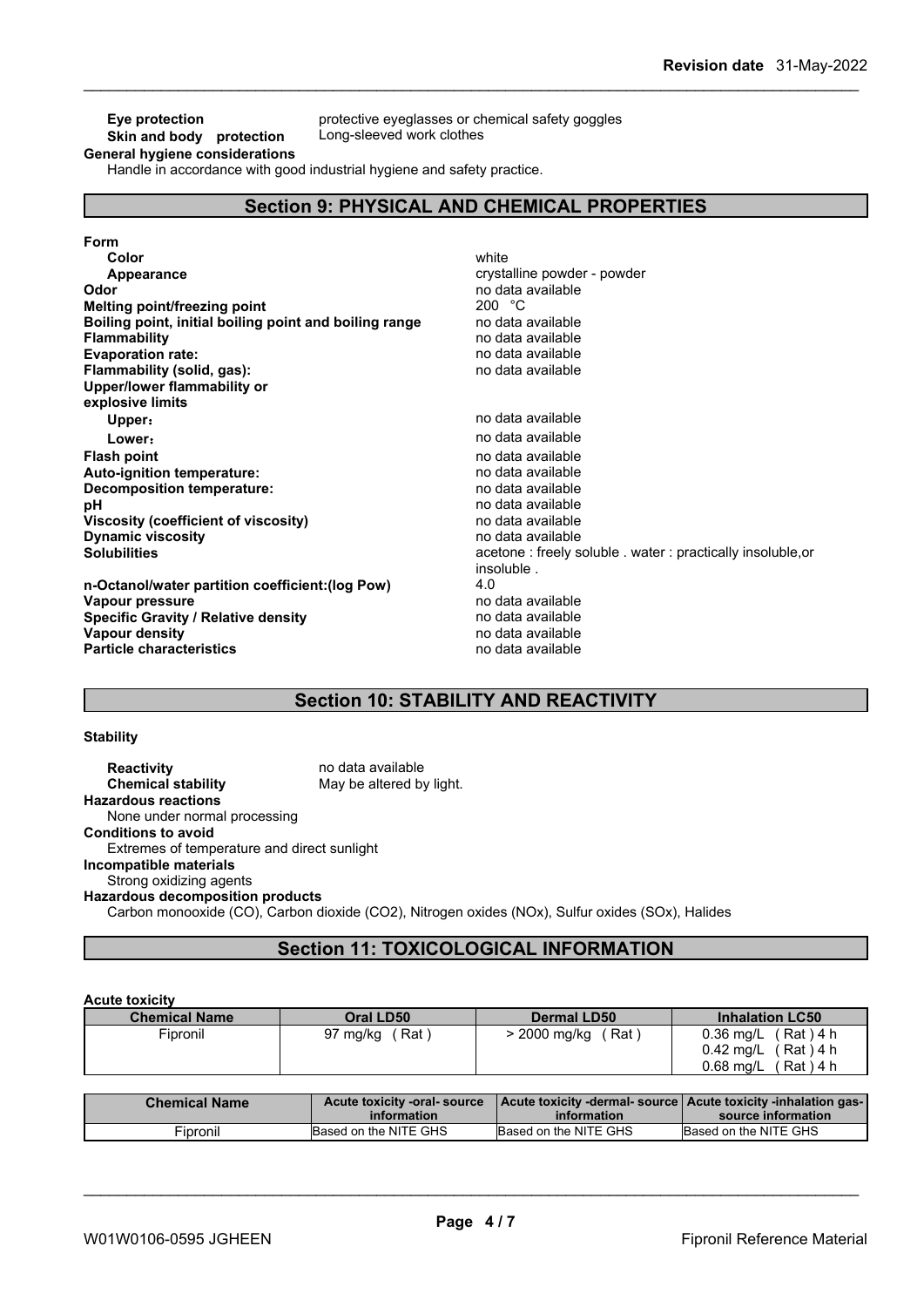# **Skin** and body protection

**Eye protection** protective eyeglasses or chemical safety goggles<br>Skin and body protection Long-sleeved work clothes

## **General hygiene considerations**

Handle in accordance with good industrial hygiene and safety practice.

## **Section 9: PHYSICAL AND CHEMICAL PROPERTIES**

| Form                                                   |                                                              |
|--------------------------------------------------------|--------------------------------------------------------------|
| Color                                                  | white                                                        |
| Appearance                                             | crystalline powder - powder                                  |
| Odor                                                   | no data available                                            |
| Melting point/freezing point                           | 200 °C                                                       |
| Boiling point, initial boiling point and boiling range | no data available                                            |
| <b>Flammability</b>                                    | no data available                                            |
| <b>Evaporation rate:</b>                               | no data available                                            |
| Flammability (solid, gas):                             | no data available                                            |
| Upper/lower flammability or                            |                                                              |
| explosive limits                                       |                                                              |
| Upper:                                                 | no data available                                            |
| Lower:                                                 | no data available                                            |
| <b>Flash point</b>                                     | no data available                                            |
| Auto-ignition temperature:                             | no data available                                            |
| Decomposition temperature:                             | no data available                                            |
| рH                                                     | no data available                                            |
| Viscosity (coefficient of viscosity)                   | no data available                                            |
| <b>Dynamic viscosity</b>                               | no data available                                            |
| <b>Solubilities</b>                                    | acetone : freely soluble . water : practically insoluble, or |
|                                                        | insoluble.                                                   |
| n-Octanol/water partition coefficient: (log Pow)       | 4.0                                                          |
| Vapour pressure                                        | no data available                                            |
| <b>Specific Gravity / Relative density</b>             | no data available                                            |
| <b>Vapour density</b>                                  | no data available                                            |
| <b>Particle characteristics</b>                        | no data available                                            |

# **Section 10: STABILITY AND REACTIVITY**

#### **Stability**

| <b>Reactivity</b>                           | no data available                                                                                |  |
|---------------------------------------------|--------------------------------------------------------------------------------------------------|--|
| <b>Chemical stability</b>                   | May be altered by light.                                                                         |  |
| <b>Hazardous reactions</b>                  |                                                                                                  |  |
| None under normal processing                |                                                                                                  |  |
| <b>Conditions to avoid</b>                  |                                                                                                  |  |
| Extremes of temperature and direct sunlight |                                                                                                  |  |
| Incompatible materials                      |                                                                                                  |  |
| Strong oxidizing agents                     |                                                                                                  |  |
| <b>Hazardous decomposition products</b>     |                                                                                                  |  |
|                                             | Carbon monooxide (CO), Carbon dioxide (CO2), Nitrogen oxides (NOx), Sulfur oxides (SOx), Halides |  |

# **Section 11: TOXICOLOGICAL INFORMATION**

## **Acute toxicity**

| .                    |                    |                               |                                                                                 |
|----------------------|--------------------|-------------------------------|---------------------------------------------------------------------------------|
| <b>Chemical Name</b> | <b>Oral LD50</b>   | Dermal LD50                   | <b>Inhalation LC50</b>                                                          |
| Fipronil             | ∶Rat `<br>97 mg/kg | $\cdot$ 2000 mg/kg<br>، Rat ا | $(Rat)$ 4 h<br>$0.36$ mg/L<br>(Rat)4 h<br>0.42 mg/L<br>$0.68$ ma/L<br>Rat ) 4 h |

| <b>Chemical Name</b> | Acute toxicity -oral-source<br>information | Acute toxicity -dermal- source   Acute toxicity -inhalation gas-<br>information | source information    |
|----------------------|--------------------------------------------|---------------------------------------------------------------------------------|-----------------------|
| Fipronil             | Based on the NITE GHS                      | Based on the NITE GHS                                                           | Based on the NITE GHS |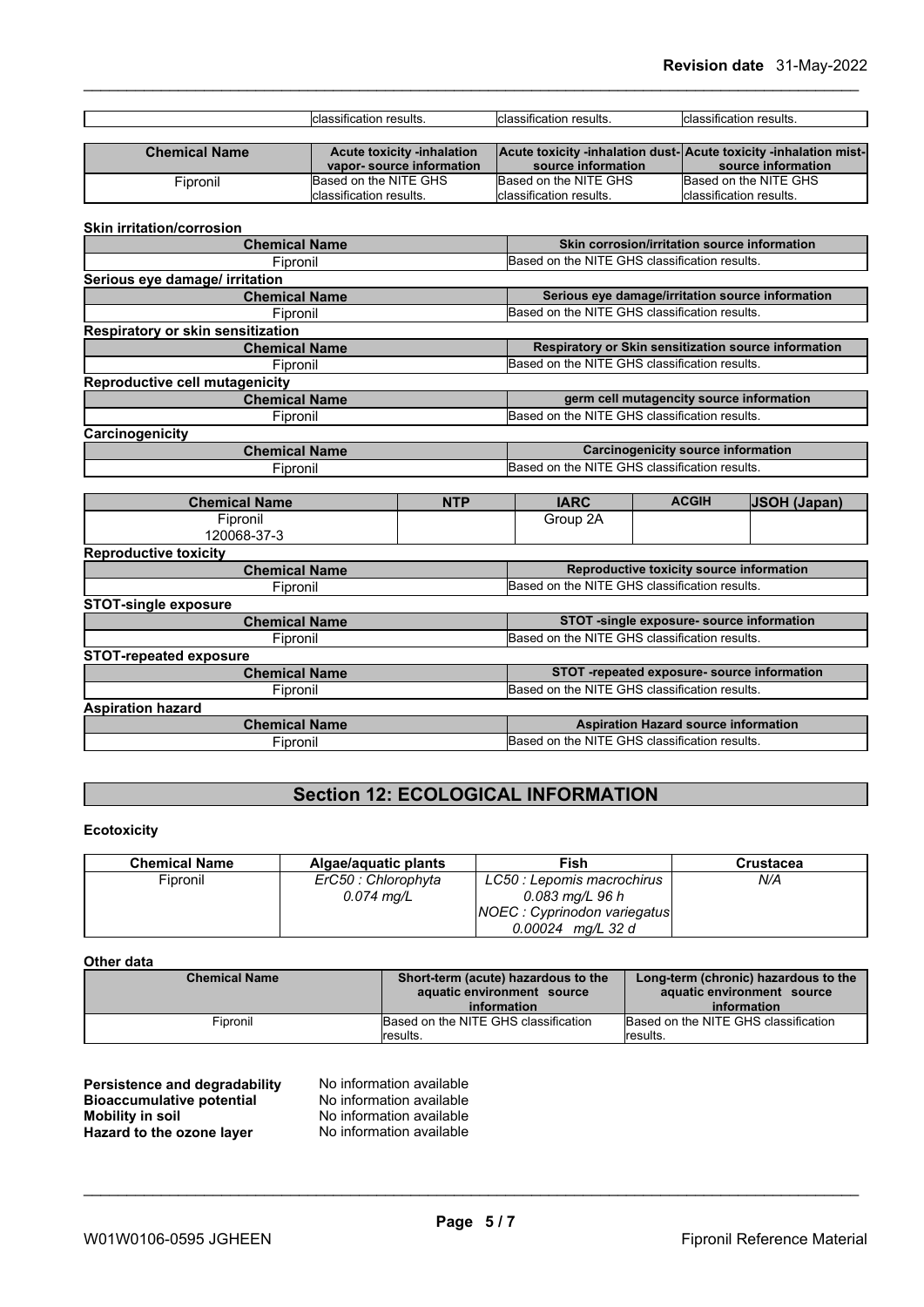|                                       | classification results. |                                                               | classification results.                                                                      | classification results.                     |                       |
|---------------------------------------|-------------------------|---------------------------------------------------------------|----------------------------------------------------------------------------------------------|---------------------------------------------|-----------------------|
|                                       |                         |                                                               |                                                                                              |                                             |                       |
| <b>Chemical Name</b>                  |                         | <b>Acute toxicity -inhalation</b><br>vapor-source information | Acute toxicity -inhalation dust- Acute toxicity -inhalation mist-<br>source information      |                                             | source information    |
| Fipronil                              | Based on the NITE GHS   |                                                               | Based on the NITE GHS                                                                        |                                             | Based on the NITE GHS |
|                                       | classification results. |                                                               | classification results.                                                                      | classification results.                     |                       |
|                                       |                         |                                                               |                                                                                              |                                             |                       |
| <b>Skin irritation/corrosion</b>      |                         |                                                               |                                                                                              |                                             |                       |
|                                       | <b>Chemical Name</b>    |                                                               | Skin corrosion/irritation source information                                                 |                                             |                       |
|                                       | Fipronil                |                                                               | Based on the NITE GHS classification results.                                                |                                             |                       |
| Serious eye damage/ irritation        |                         |                                                               |                                                                                              |                                             |                       |
|                                       | <b>Chemical Name</b>    |                                                               | Serious eye damage/irritation source information                                             |                                             |                       |
|                                       | Fipronil                |                                                               | Based on the NITE GHS classification results.                                                |                                             |                       |
| Respiratory or skin sensitization     |                         |                                                               |                                                                                              |                                             |                       |
|                                       | <b>Chemical Name</b>    |                                                               | Respiratory or Skin sensitization source information                                         |                                             |                       |
|                                       | Fipronil                |                                                               | Based on the NITE GHS classification results.                                                |                                             |                       |
| <b>Reproductive cell mutagenicity</b> |                         |                                                               |                                                                                              |                                             |                       |
|                                       | <b>Chemical Name</b>    |                                                               | germ cell mutagencity source information                                                     |                                             |                       |
|                                       | Fipronil                |                                                               | Based on the NITE GHS classification results.                                                |                                             |                       |
| Carcinogenicity                       |                         |                                                               |                                                                                              |                                             |                       |
|                                       | <b>Chemical Name</b>    |                                                               |                                                                                              | <b>Carcinogenicity source information</b>   |                       |
|                                       | Fipronil                |                                                               | Based on the NITE GHS classification results.                                                |                                             |                       |
|                                       |                         |                                                               |                                                                                              |                                             |                       |
| <b>Chemical Name</b>                  |                         | <b>NTP</b>                                                    | <b>IARC</b>                                                                                  | <b>ACGIH</b>                                | <b>JSOH (Japan)</b>   |
| Fipronil                              |                         |                                                               | Group 2A                                                                                     |                                             |                       |
| 120068-37-3                           |                         |                                                               |                                                                                              |                                             |                       |
| <b>Reproductive toxicity</b>          |                         |                                                               |                                                                                              |                                             |                       |
|                                       | <b>Chemical Name</b>    |                                                               | Reproductive toxicity source information                                                     |                                             |                       |
|                                       | Fipronil                |                                                               | Based on the NITE GHS classification results.                                                |                                             |                       |
| <b>STOT-single exposure</b>           |                         |                                                               |                                                                                              |                                             |                       |
|                                       | <b>Chemical Name</b>    |                                                               | STOT -single exposure- source information                                                    |                                             |                       |
|                                       | Fipronil                |                                                               | Based on the NITE GHS classification results.                                                |                                             |                       |
| <b>STOT-repeated exposure</b>         |                         |                                                               |                                                                                              |                                             |                       |
|                                       | <b>Chemical Name</b>    |                                                               | STOT -repeated exposure- source information<br>Based on the NITE GHS classification results. |                                             |                       |
|                                       | Fipronil                |                                                               |                                                                                              |                                             |                       |
| <b>Aspiration hazard</b>              |                         |                                                               |                                                                                              |                                             |                       |
|                                       | <b>Chemical Name</b>    |                                                               | Based on the NITE GHS classification results.                                                | <b>Aspiration Hazard source information</b> |                       |
|                                       | Fipronil                |                                                               |                                                                                              |                                             |                       |

# **Section 12: ECOLOGICAL INFORMATION**

## **Ecotoxicity**

| <b>Chemical Name</b> | Algae/aguatic plants | Fish                        | Crustacea |
|----------------------|----------------------|-----------------------------|-----------|
| Fipronil             | ErC50 : Chlorophyta  | LC50 : Lepomis macrochirus  | N/A       |
|                      | $0.074$ mg/L         | $0.083$ mg/L 96 h           |           |
|                      |                      | NOEC: Cyprinodon variegatus |           |
|                      |                      | 0.00024 ma/L 32 d           |           |

#### **Other data**

| Chemical Name | Short-term (acute) hazardous to the<br>aquatic environment source | Long-term (chronic) hazardous to the<br>aquatic environment source |  |
|---------------|-------------------------------------------------------------------|--------------------------------------------------------------------|--|
|               | information                                                       | information                                                        |  |
| Fipronil      | Based on the NITE GHS classification                              | Based on the NITE GHS classification                               |  |
|               | results.                                                          | results.                                                           |  |

**Persistence and degradability** No information available **Bioaccumulative potential** No information available **Mobility in soil**<br> **Hazard to the ozone laver** Mo information available **Hazard** to the ozone layer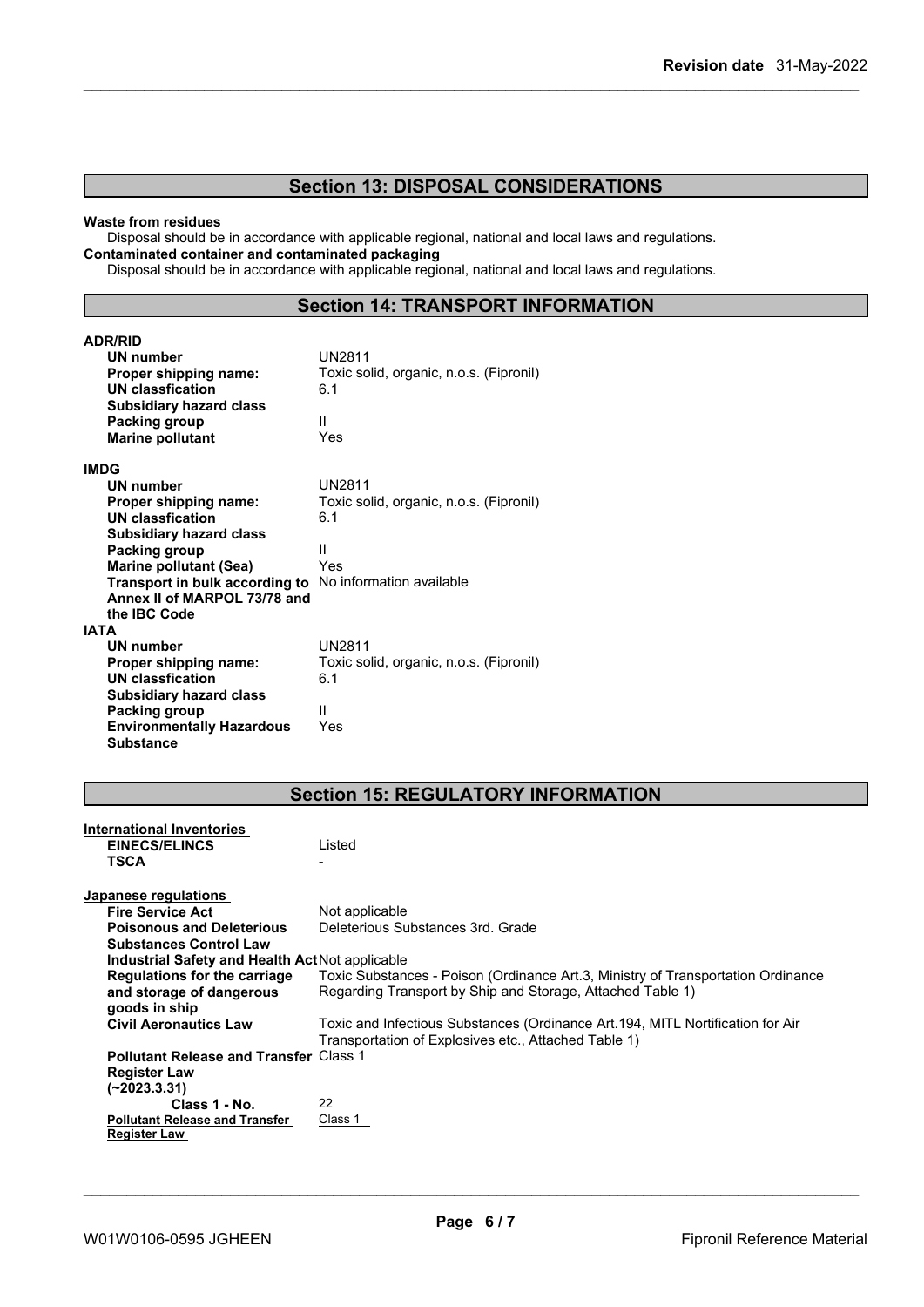# **Section 13: DISPOSAL CONSIDERATIONS**

#### **Waste from residues**

Disposal should be in accordance with applicable regional, national and local laws and regulations. **Contaminated container and contaminated packaging**

Disposal should be in accordance with applicable regional, national and local laws and regulations.

## **Section 14: TRANSPORT INFORMATION**

| <b>ADR/RID</b> |
|----------------|
|----------------|

| <b>ADR/RID</b>                                                 |                                         |
|----------------------------------------------------------------|-----------------------------------------|
| <b>UN number</b>                                               | <b>UN2811</b>                           |
| Proper shipping name:                                          | Toxic solid, organic, n.o.s. (Fipronil) |
| <b>UN classfication</b>                                        | 6.1                                     |
| <b>Subsidiary hazard class</b>                                 |                                         |
| Packing group                                                  | Ш                                       |
| <b>Marine pollutant</b>                                        | Yes                                     |
| IMDG                                                           |                                         |
| UN number                                                      | UN2811                                  |
| Proper shipping name:                                          | Toxic solid, organic, n.o.s. (Fipronil) |
| <b>UN classfication</b>                                        | 6.1                                     |
| <b>Subsidiary hazard class</b>                                 |                                         |
| <b>Packing group</b>                                           | Ш                                       |
| <b>Marine pollutant (Sea)</b>                                  | Yes                                     |
| <b>Transport in bulk according to</b> No information available |                                         |
| Annex II of MARPOL 73/78 and                                   |                                         |
| the <b>IBC</b> Code                                            |                                         |
| IATA                                                           |                                         |
| <b>UN number</b>                                               | <b>UN2811</b>                           |
| Proper shipping name:                                          | Toxic solid, organic, n.o.s. (Fipronil) |
| <b>UN classfication</b>                                        | 6.1                                     |
| <b>Subsidiary hazard class</b>                                 |                                         |
| <b>Packing group</b>                                           | Ш                                       |
| <b>Environmentally Hazardous</b>                               | Yes                                     |
| <b>Substance</b>                                               |                                         |

# **Section 15: REGULATORY INFORMATION**

| <b>International Inventories</b>                |                                                                                  |
|-------------------------------------------------|----------------------------------------------------------------------------------|
| <b>EINECS/ELINCS</b>                            | Listed                                                                           |
| TSCA                                            |                                                                                  |
|                                                 |                                                                                  |
| Japanese regulations                            |                                                                                  |
| <b>Fire Service Act</b>                         | Not applicable                                                                   |
| <b>Poisonous and Deleterious</b>                | Deleterious Substances 3rd. Grade                                                |
| <b>Substances Control Law</b>                   |                                                                                  |
| Industrial Safety and Health Act Not applicable |                                                                                  |
| <b>Regulations for the carriage</b>             | Toxic Substances - Poison (Ordinance Art.3, Ministry of Transportation Ordinance |
| and storage of dangerous                        | Regarding Transport by Ship and Storage, Attached Table 1)                       |
| goods in ship                                   |                                                                                  |
| <b>Civil Aeronautics Law</b>                    | Toxic and Infectious Substances (Ordinance Art. 194, MITL Nortification for Air  |
|                                                 | Transportation of Explosives etc., Attached Table 1)                             |
| <b>Pollutant Release and Transfer Class 1</b>   |                                                                                  |
| <b>Register Law</b>                             |                                                                                  |
| $(-2023.3.31)$                                  |                                                                                  |
| Class 1 - No.                                   | 22                                                                               |
| <b>Pollutant Release and Transfer</b>           | Class 1                                                                          |
| <b>Register Law</b>                             |                                                                                  |